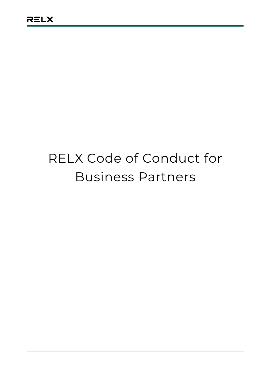# RELX Code of Conduct for Business Partners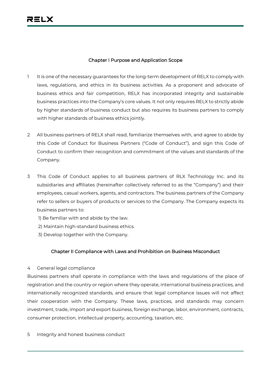#### **Chapter I Purpose and Application Scope**

- 1 It is one of the necessary guarantees for the long-term development of RELX to comply with laws, regulations, and ethics in its business activities. As a proponent and advocate of business ethics and fair competition, RELX has incorporated integrity and sustainable business practices into the Company's core values. It not only requires RELX to strictly abide by higher standards of business conduct but also requires its business partners to comply with higher standards of business ethics jointly.
- 2 All business partners of RELX shall read, familiarize themselves with, and agree to abide by this Code of Conduct for Business Partners ("Code of Conduct"), and sign this Code of Conduct to confirm their recognition and commitment of the values and standards of the Company.
- 3 This Code of Conduct applies to all business partners of RLX Technology Inc. and its subsidiaries and affiliates (hereinafter collectively referred to as the "Company") and their employees, casual workers, agents, and contractors. The business partners of the Company refer to sellers or buyers of products or services to the Company. The Company expects its business partners to:
	- 1) Be familiar with and abide by the law.
	- 2) Maintain high-standard business ethics.
	- 3) Develop together with the Company.

## **Chapter II Compliance with Laws and Prohibition on Business Misconduct**

#### 4 General legal compliance

Business partners shall operate in compliance with the laws and regulations of the place of registration and the country or region where they operate, international business practices, and internationally recognized standards, and ensure that legal compliance issues will not affect their cooperation with the Company. These laws, practices, and standards may concern investment, trade, import and export business, foreign exchange, labor, environment, contracts, consumer protection, intellectual property, accounting, taxation, etc.

5 Integrity and honest business conduct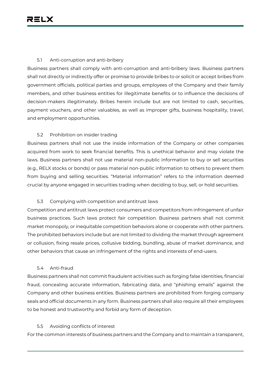#### 5.1 Anti-corruption and anti-bribery

Business partners shall comply with anti-corruption and anti-bribery laws. Business partners shall not directly or indirectly offer or promise to provide bribes to or solicit or accept bribes from government officials, political parties and groups, employees of the Company and their family members, and other business entities for illegitimate benefits or to influence the decisions of decision-makers illegitimately. Bribes herein include but are not limited to cash, securities, payment vouchers, and other valuables, as well as improper gifts, business hospitality, travel, and employment opportunities.

#### 5.2 Prohibition on insider trading

Business partners shall not use the inside information of the Company or other companies acquired from work to seek financial benefits. This is unethical behavior and may violate the laws. Business partners shall not use material non-public information to buy or sell securities (e.g., RELX stocks or bonds) or pass material non-public information to others to prevent them from buying and selling securities. "Material information" refers to the information deemed crucial by anyone engaged in securities trading when deciding to buy, sell, or hold securities.

## 5.3 Complying with competition and antitrust laws

Competition and antitrust laws protect consumers and competitors from infringement of unfair business practices. Such laws protect fair competition. Business partners shall not commit market monopoly, or inequitable competition behaviors alone or cooperate with other partners. The prohibited behaviors include but are not limited to dividing the market through agreement or collusion, fixing resale prices, collusive bidding, bundling, abuse of market dominance, and other behaviors that cause an infringement of the rights and interests of end-users.

#### 5.4 Anti-fraud

Business partners shall not commit fraudulent activities such as forging false identities, financial fraud, concealing accurate information, fabricating data, and "phishing emails" against the Company and other business entities. Business partners are prohibited from forging company seals and official documents in any form. Business partners shall also require all their employees to be honest and trustworthy and forbid any form of deception.

#### 5.5 Avoiding conflicts of interest

For the common interests of business partners and the Company and to maintain a transparent,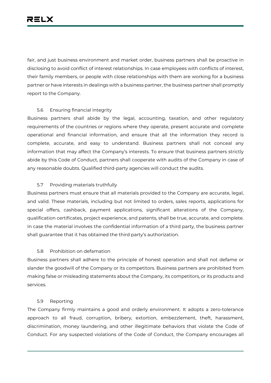fair, and just business environment and market order, business partners shall be proactive in disclosing to avoid conflict of interest relationships. In case employees with conflicts of interest, their family members, or people with close relationships with them are working for a business partner or have interests in dealings with a business partner, the business partner shall promptly report to the Company.

#### 5.6 Ensuring financial integrity

Business partners shall abide by the legal, accounting, taxation, and other regulatory requirements of the countries or regions where they operate, present accurate and complete operational and financial information, and ensure that all the information they record is complete, accurate, and easy to understand. Business partners shall not conceal any information that may affect the Company's interests. To ensure that business partners strictly abide by this Code of Conduct, partners shall cooperate with audits of the Company in case of any reasonable doubts. Qualified third-party agencies will conduct the audits.

#### 5.7 Providing materials truthfully

Business partners must ensure that all materials provided to the Company are accurate, legal, and valid. These materials, including but not limited to orders, sales reports, applications for special offers, cashback, payment applications, significant alterations of the Company, qualification certificates, project experience, and patents, shall be true, accurate, and complete. In case the material involves the confidential information of a third party, the business partner shall guarantee that it has obtained the third party's authorization.

## 5.8 Prohibition on defamation

Business partners shall adhere to the principle of honest operation and shall not defame or slander the goodwill of the Company or its competitors. Business partners are prohibited from making false or misleading statements about the Company, its competitors, or its products and services.

#### 5.9 Reporting

The Company firmly maintains a good and orderly environment. It adopts a zero-tolerance approach to all fraud, corruption, bribery, extortion, embezzlement, theft, harassment, discrimination, money laundering, and other illegitimate behaviors that violate the Code of Conduct. For any suspected violations of the Code of Conduct, the Company encourages all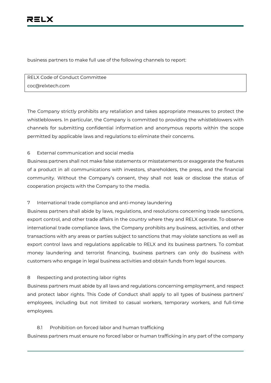business partners to make full use of the following channels to report:

RELX Code of Conduct Committee coc@relxtech.com

The Company strictly prohibits any retaliation and takes appropriate measures to protect the whistleblowers. In particular, the Company is committed to providing the whistleblowers with channels for submitting confidential information and anonymous reports within the scope permitted by applicable laws and regulations to eliminate their concerns.

## 6 External communication and social media

Business partners shall not make false statements or misstatements or exaggerate the features of a product in all communications with investors, shareholders, the press, and the financial community. Without the Company's consent, they shall not leak or disclose the status of cooperation projects with the Company to the media.

## 7 International trade compliance and anti-money laundering

Business partners shall abide by laws, regulations, and resolutions concerning trade sanctions, export control, and other trade affairs in the country where they and RELX operate. To observe international trade compliance laws, the Company prohibits any business, activities, and other transactions with any areas or parties subject to sanctions that may violate sanctions as well as export control laws and regulations applicable to RELX and its business partners. To combat money laundering and terrorist financing, business partners can only do business with customers who engage in legal business activities and obtain funds from legal sources.

## 8 Respecting and protecting labor rights

Business partners must abide by all laws and regulations concerning employment, and respect and protect labor rights. This Code of Conduct shall apply to all types of business partners' employees, including but not limited to casual workers, temporary workers, and full-time employees.

## 8.1 Prohibition on forced labor and human trafficking

Business partners must ensure no forced labor or human trafficking in any part of the company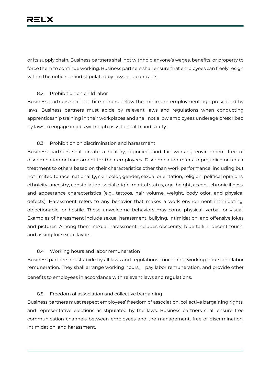or its supply chain. Business partners shall not withhold anyone's wages, benefits, or property to force them to continue working. Business partners shall ensure that employees can freely resign within the notice period stipulated by laws and contracts.

#### 8.2 Prohibition on child labor

Business partners shall not hire minors below the minimum employment age prescribed by laws. Business partners must abide by relevant laws and regulations when conducting apprenticeship training in their workplaces and shall not allow employees underage prescribed by laws to engage in jobs with high risks to health and safety.

#### 8.3 Prohibition on discrimination and harassment

Business partners shall create a healthy, dignified, and fair working environment free of discrimination or harassment for their employees. Discrimination refers to prejudice or unfair treatment to others based on their characteristics other than work performance, including but not limited to race, nationality, skin color, gender, sexual orientation, religion, political opinions, ethnicity, ancestry, constellation, social origin, marital status, age, height, accent, chronic illness, and appearance characteristics (e.g., tattoos, hair volume, weight, body odor, and physical defects). Harassment refers to any behavior that makes a work environment intimidating, objectionable, or hostile. These unwelcome behaviors may come physical, verbal, or visual. Examples of harassment include sexual harassment, bullying, intimidation, and offensive jokes and pictures. Among them, sexual harassment includes obscenity, blue talk, indecent touch, and asking for sexual favors.

#### 8.4 Working hours and labor remuneration

Business partners must abide by all laws and regulations concerning working hours and labor remuneration. They shall arrange working hours, pay labor remuneration, and provide other benefits to employees in accordance with relevant laws and regulations.

## 8.5 Freedom of association and collective bargaining

Business partners must respect employees' freedom of association, collective bargaining rights, and representative elections as stipulated by the laws. Business partners shall ensure free communication channels between employees and the management, free of discrimination, intimidation, and harassment.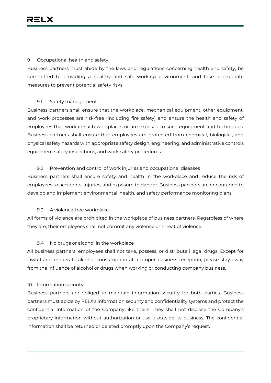#### 9 Occupational health and safety

Business partners must abide by the laws and regulations concerning health and safety, be committed to providing a healthy and safe working environment, and take appropriate measures to prevent potential safety risks.

## 9.1 Safety management

Business partners shall ensure that the workplace, mechanical equipment, other equipment, and work processes are risk-free (including fire safety) and ensure the health and safety of employees that work in such workplaces or are exposed to such equipment and techniques. Business partners shall ensure that employees are protected from chemical, biological, and physical safety hazards with appropriate safety design, engineering, and administrative controls, equipment safety inspections, and work safety procedures.

## 9.2 Prevention and control of work injuries and occupational diseases

Business partners shall ensure safety and health in the workplace and reduce the risk of employees to accidents, injuries, and exposure to danger. Business partners are encouraged to develop and implement environmental, health, and safety performance monitoring plans.

## 9.3 A violence-free workplace

All forms of violence are prohibited in the workplace of business partners. Regardless of where they are, their employees shall not commit any violence or threat of violence.

# 9.4 No drugs or alcohol in the workplace

All business partners' employees shall not take, possess, or distribute illegal drugs. Except for lawful and moderate alcohol consumption at a proper business reception, please stay away from the influence of alcohol or drugs when working or conducting company business.

## 10 Information security

Business partners are obliged to maintain information security for both parties. Business partners must abide by RELX's information security and confidentiality systems and protect the confidential information of the Company like theirs. They shall not disclose the Company's proprietary information without authorization or use it outside its business. The confidential information shall be returned or deleted promptly upon the Company's request.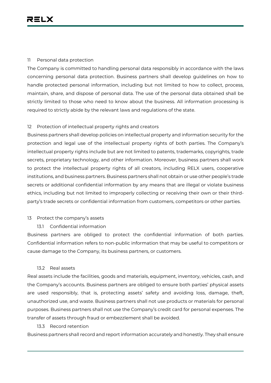#### 11 Personal data protection

The Company is committed to handling personal data responsibly in accordance with the laws concerning personal data protection. Business partners shall develop guidelines on how to handle protected personal information, including but not limited to how to collect, process, maintain, share, and dispose of personal data. The use of the personal data obtained shall be strictly limited to those who need to know about the business. All information processing is required to strictly abide by the relevant laws and regulations of the state.

## 12 Protection of intellectual property rights and creators

Business partners shall develop policies on intellectual property and information security for the protection and legal use of the intellectual property rights of both parties. The Company's intellectual property rights include but are not limited to patents, trademarks, copyrights, trade secrets, proprietary technology, and other information. Moreover, business partners shall work to protect the intellectual property rights of all creators, including RELX users, cooperative institutions, and business partners. Business partners shall not obtain or use other people's trade secrets or additional confidential information by any means that are illegal or violate business ethics, including but not limited to improperly collecting or receiving their own or their thirdparty's trade secrets or confidential information from customers, competitors or other parties.

## 13 Protect the company's assets

13.1 Confidential information

Business partners are obliged to protect the confidential information of both parties. Confidential information refers to non-public information that may be useful to competitors or cause damage to the Company, its business partners, or customers.

## 13.2 Real assets

Real assets include the facilities, goods and materials, equipment, inventory, vehicles, cash, and the Company's accounts. Business partners are obliged to ensure both parties' physical assets are used responsibly, that is, protecting assets' safety and avoiding loss, damage, theft, unauthorized use, and waste. Business partners shall not use products or materials for personal purposes. Business partners shall not use the Company's credit card for personal expenses. The transfer of assets through fraud or embezzlement shall be avoided.

## 13.3 Record retention

Business partners shall record and report information accurately and honestly. They shall ensure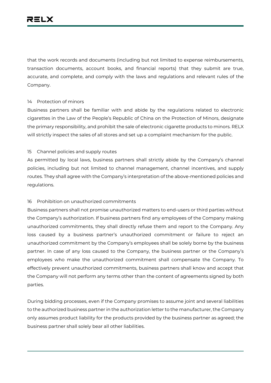that the work records and documents (including but not limited to expense reimbursements, transaction documents, account books, and financial reports) that they submit are true, accurate, and complete, and comply with the laws and regulations and relevant rules of the Company.

#### 14 Protection of minors

Business partners shall be familiar with and abide by the regulations related to electronic cigarettes in the Law of the People's Republic of China on the Protection of Minors, designate the primary responsibility, and prohibit the sale of electronic cigarette products to minors. RELX will strictly inspect the sales of all stores and set up a complaint mechanism for the public.

#### 15 Channel policies and supply routes

As permitted by local laws, business partners shall strictly abide by the Company's channel policies, including but not limited to channel management, channel incentives, and supply routes. They shall agree with the Company's interpretation of the above-mentioned policies and regulations.

## 16 Prohibition on unauthorized commitments

Business partners shall not promise unauthorized matters to end-users or third parties without the Company's authorization. If business partners find any employees of the Company making unauthorized commitments, they shall directly refuse them and report to the Company. Any loss caused by a business partner's unauthorized commitment or failure to reject an unauthorized commitment by the Company's employees shall be solely borne by the business partner. In case of any loss caused to the Company, the business partner or the Company's employees who make the unauthorized commitment shall compensate the Company. To effectively prevent unauthorized commitments, business partners shall know and accept that the Company will not perform any terms other than the content of agreements signed by both parties.

During bidding processes, even if the Company promises to assume joint and several liabilities to the authorized business partner in the authorization letter to the manufacturer, the Company only assumes product liability for the products provided by the business partner as agreed; the business partner shall solely bear all other liabilities.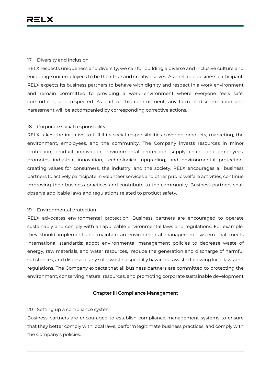#### 17 Diversity and inclusion

RELX respects uniqueness and diversity, we call for building a diverse and inclusive culture and encourage our employees to be their true and creative selves. As a reliable business participant, RELX expects its business partners to behave with dignity and respect in a work environment and remain committed to providing a work environment where everyone feels safe, comfortable, and respected. As part of this commitment, any form of discrimination and harassment will be accompanied by corresponding corrective actions.

#### 18 Corporate social responsibility

RELX takes the initiative to fulfill its social responsibilities covering products, marketing, the environment, employees, and the community. The Company invests resources in minor protection, product innovation, environmental protection, supply chain, and employees; promotes industrial innovation, technological upgrading, and environmental protection, creating values for consumers, the industry, and the society. RELX encourages all business partners to actively participate in volunteer services and other public welfare activities, continue improving their business practices and contribute to the community. Business partners shall observe applicable laws and regulations related to product safety.

#### 19 Environmental protection

RELX advocates environmental protection. Business partners are encouraged to operate sustainably and comply with all applicable environmental laws and regulations. For example, they should implement and maintain an environmental management system that meets international standards; adopt environmental management policies to decrease waste of energy, raw materials, and water resources, reduce the generation and discharge of harmful substances, and dispose of any solid waste (especially hazardous waste) following local laws and regulations. The Company expects that all business partners are committed to protecting the environment, conserving natural resources, and promoting corporate sustainable development

#### **Chapter III Compliance Management**

#### 20 Setting up a compliance system

Business partners are encouraged to establish compliance management systems to ensure that they better comply with local laws, perform legitimate business practices, and comply with the Company's policies.